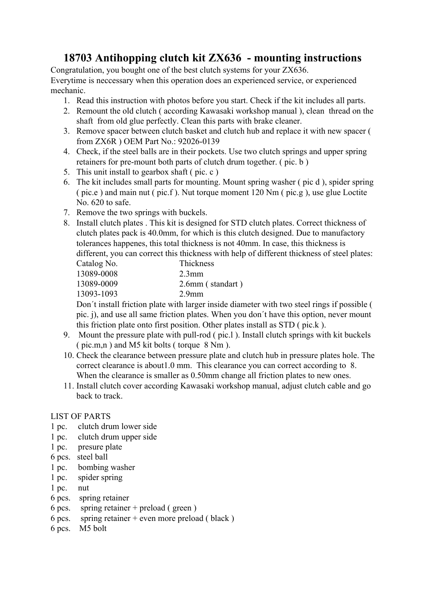## **18703 Antihopping clutch kit ZX636 - mounting instructions**

Congratulation, you bought one of the best clutch systems for your ZX636. Everytime is neccessary when this operation does an experienced service, or experienced mechanic.

- 1. Read this instruction with photos before you start. Check if the kit includes all parts.
- 2. Remount the old clutch ( according Kawasaki workshop manual ), clean thread on the shaft from old glue perfectly. Clean this parts with brake cleaner.
- 3. Remove spacer between clutch basket and clutch hub and replace it with new spacer ( from ZX6R ) OEM Part No.: 92026-0139
- 4. Check, if the steel balls are in their pockets. Use two clutch springs and upper spring retainers for pre-mount both parts of clutch drum together. ( pic. b )
- 5. This unit install to gearbox shaft ( pic. c )
- 6. The kit includes small parts for mounting. Mount spring washer ( pic d ), spider spring ( pic.e ) and main nut ( pic.f ). Nut torque moment 120 Nm ( pic.g ), use glue Loctite No. 620 to safe.
- 7. Remove the two springs with buckels.
- 8. Install clutch plates . This kit is designed for STD clutch plates. Correct thickness of clutch plates pack is 40.0mm, for which is this clutch designed. Due to manufactory tolerances happenes, this total thickness is not 40mm. In case, this thickness is different, you can correct this thickness with help of different thickness of steel plates:

| Thickness        |
|------------------|
| $2.3$ mm         |
| 2.6mm (standart) |
| $2.9$ mm         |
|                  |

Don´t install friction plate with larger inside diameter with two steel rings if possible ( pic. j), and use all same friction plates. When you don´t have this option, never mount this friction plate onto first position. Other plates install as STD ( pic.k ).

- 9. Mount the pressure plate with pull-rod ( pic.l ). Install clutch springs with kit buckels ( pic.m,n ) and M5 kit bolts ( torque 8 Nm ).
- 10. Check the clearance between pressure plate and clutch hub in pressure plates hole. The correct clearance is about1.0 mm. This clearance you can correct according to 8. When the clearance is smaller as 0.50mm change all friction plates to new ones.
- 11. Install clutch cover according Kawasaki workshop manual, adjust clutch cable and go back to track.

## LIST OF PARTS

- 1 pc. clutch drum lower side
- 1 pc. clutch drum upper side
- 1 pc. presure plate
- 6 pcs. steel ball
- 1 pc. bombing washer
- 1 pc. spider spring
- 1 pc. nut
- 6 pcs. spring retainer
- 6 pcs. spring retainer + preload ( green )
- 6 pcs. spring retainer + even more preload ( black )
- 6 pcs. M5 bolt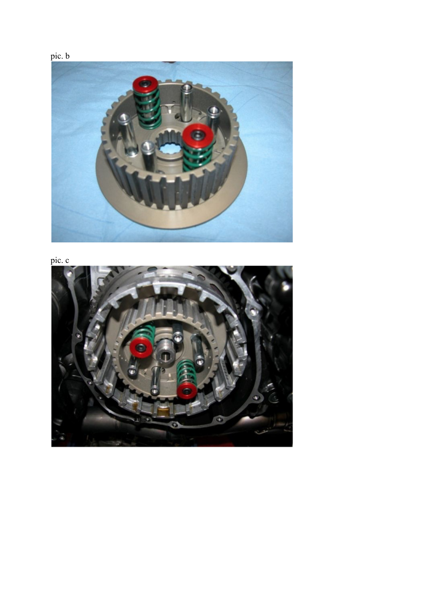





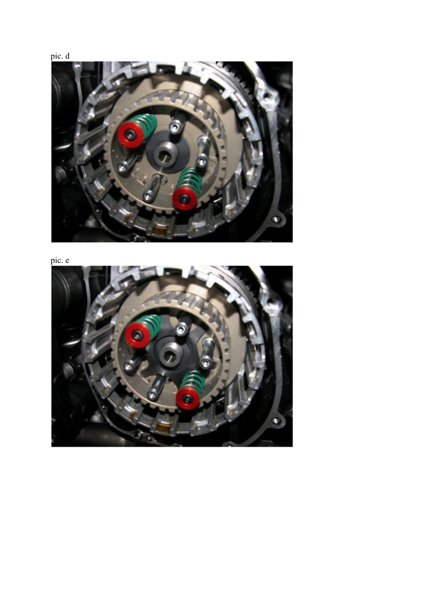



pic. e

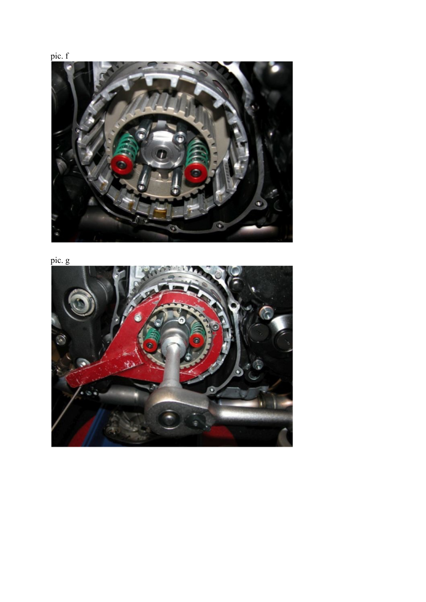



pic. g

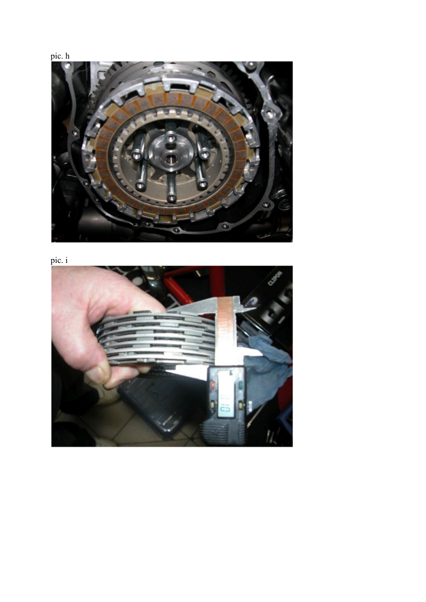



 $pic. i$ 

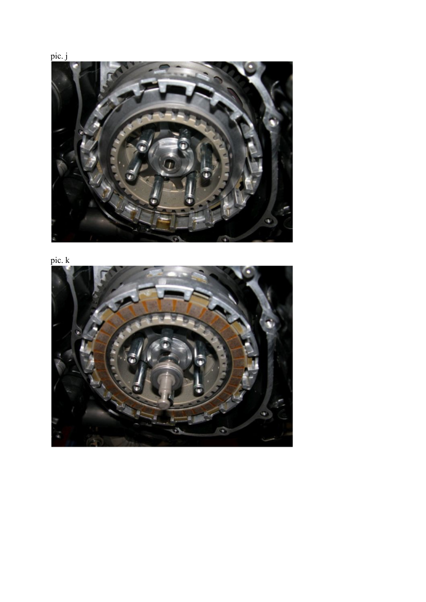

pic. k



pic. j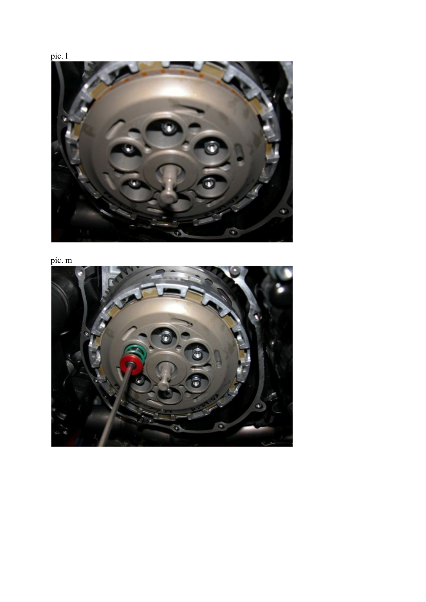



pic. m